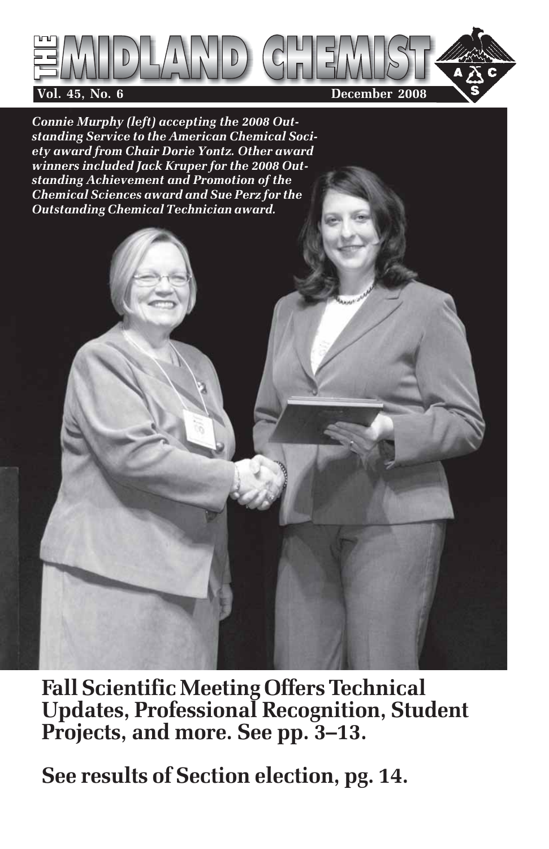

*Connie Murphy (left) accepting the 2008 Outstanding Service to the American Chemical Society award from Chair Dorie Yontz. Other award winners included Jack Kruper for the 2008 Outstanding Achievement and Promotion of the Chemical Sciences award and Sue Perz for the Outstanding Chemical Technician award.*

**Fall Scientific Meeting Offers Technical Updates, Professional Recognition, Student Projects, and more. See pp. 3–13.**

**See results of Section election, pg. 14.**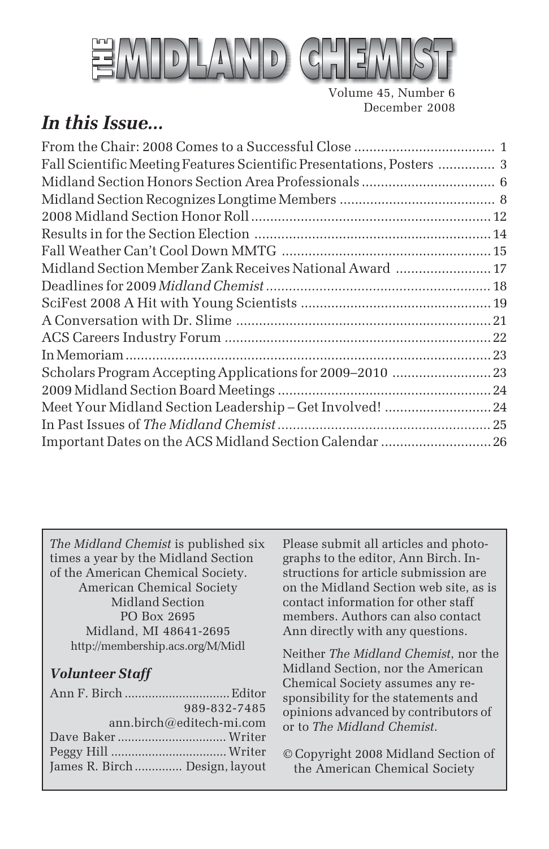

Volume 45, Number 6 December 2008

## *In this Issue...*

| Fall Scientific Meeting Features Scientific Presentations, Posters  3 |  |
|-----------------------------------------------------------------------|--|
|                                                                       |  |
|                                                                       |  |
|                                                                       |  |
|                                                                       |  |
|                                                                       |  |
| Midland Section Member Zank Receives National Award  17               |  |
|                                                                       |  |
|                                                                       |  |
|                                                                       |  |
|                                                                       |  |
|                                                                       |  |
| Scholars Program Accepting Applications for 2009-2010  23             |  |
|                                                                       |  |
| Meet Your Midland Section Leadership - Get Involved!  24              |  |
|                                                                       |  |
| Important Dates on the ACS Midland Section Calendar  26               |  |

*The Midland Chemist* is published six times a year by the Midland Section of the American Chemical Society. American Chemical Society Midland Section PO Box 2695 Midland, MI 48641-2695 http://membership.acs.org/M/Midl

## *Volunteer Staff*

|                               | 989-832-7485 |
|-------------------------------|--------------|
| $ann.birch@editech-mi.com$    |              |
|                               |              |
|                               |              |
| James R. Birch Design, layout |              |

Please submit all articles and photographs to the editor, Ann Birch. Instructions for article submission are on the Midland Section web site, as is contact information for other staff members. Authors can also contact Ann directly with any questions.

Neither *The Midland Chemist*, nor the Midland Section, nor the American Chemical Society assumes any responsibility for the statements and opinions advanced by contributors of or to *The Midland Chemist*.

© Copyright 2008 Midland Section of the American Chemical Society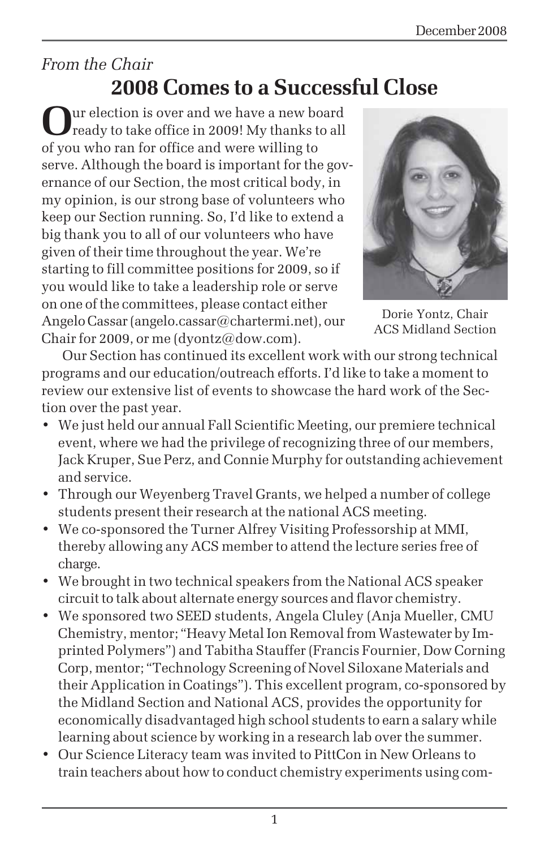## *From the Chair* **2008 Comes to a Successful Close**

**O**ur election is over and we have a new board ready to take office in 2009! My thanks to all of you who ran for office and were willing to serve. Although the board is important for the governance of our Section, the most critical body, in my opinion, is our strong base of volunteers who keep our Section running. So, I'd like to extend a big thank you to all of our volunteers who have given of their time throughout the year. We're starting to fill committee positions for 2009, so if you would like to take a leadership role or serve on one of the committees, please contact either Angelo Cassar (angelo.cassar@chartermi.net), our Chair for 2009, or me (dyontz@dow.com).



Dorie Yontz, Chair ACS Midland Section

Our Section has continued its excellent work with our strong technical programs and our education/outreach efforts. I'd like to take a moment to review our extensive list of events to showcase the hard work of the Section over the past year.

- We just held our annual Fall Scientific Meeting, our premiere technical event, where we had the privilege of recognizing three of our members, Jack Kruper, Sue Perz, and Connie Murphy for outstanding achievement and service.
- Through our Weyenberg Travel Grants, we helped a number of college students present their research at the national ACS meeting.
- We co-sponsored the Turner Alfrey Visiting Professorship at MMI, thereby allowing any ACS member to attend the lecture series free of charge.
- We brought in two technical speakers from the National ACS speaker circuit to talk about alternate energy sources and flavor chemistry.
- We sponsored two SEED students, Angela Cluley (Anja Mueller, CMU Chemistry, mentor; "Heavy Metal Ion Removal from Wastewater by Imprinted Polymers") and Tabitha Stauffer (Francis Fournier, Dow Corning Corp, mentor; "Technology Screening of Novel Siloxane Materials and their Application in Coatings"). This excellent program, co-sponsored by the Midland Section and National ACS, provides the opportunity for economically disadvantaged high school students to earn a salary while learning about science by working in a research lab over the summer.
- Our Science Literacy team was invited to PittCon in New Orleans to train teachers about how to conduct chemistry experiments using com-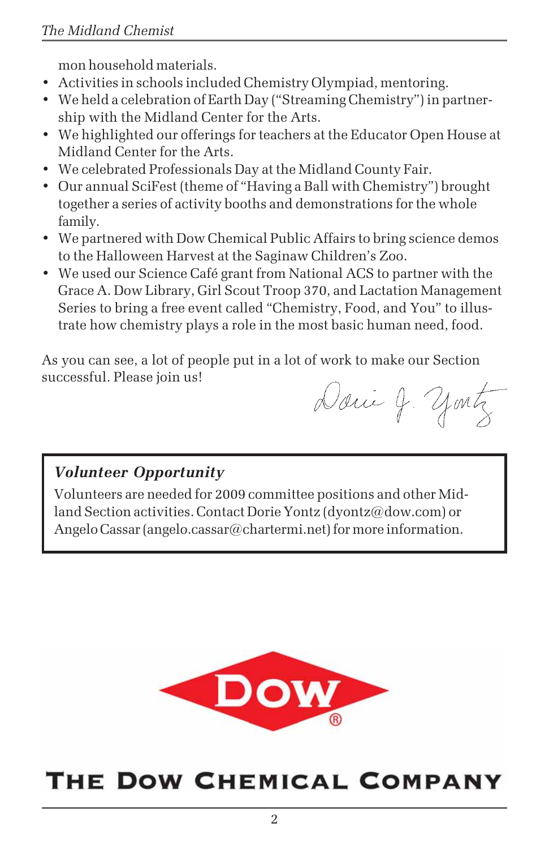mon household materials.

- Activities in schools included Chemistry Olympiad, mentoring.
- We held a celebration of Earth Day ("Streaming Chemistry") in partnership with the Midland Center for the Arts.
- We highlighted our offerings for teachers at the Educator Open House at Midland Center for the Arts.
- We celebrated Professionals Day at the Midland County Fair.
- Our annual SciFest (theme of "Having a Ball with Chemistry") brought together a series of activity booths and demonstrations for the whole family.
- We partnered with Dow Chemical Public Affairs to bring science demos to the Halloween Harvest at the Saginaw Children's Zoo.
- We used our Science Café grant from National ACS to partner with the Grace A. Dow Library, Girl Scout Troop 370, and Lactation Management Series to bring a free event called "Chemistry, Food, and You" to illustrate how chemistry plays a role in the most basic human need, food.

As you can see, a lot of people put in a lot of work to make our Section successful. Please join us!

Danie J. yontz

## *Volunteer Opportunity*

Volunteers are needed for 2009 committee positions and other Midland Section activities. Contact Dorie Yontz (dyontz@dow.com) or Angelo Cassar (angelo.cassar@chartermi.net) for more information.



# THE DOW CHEMICAL COMPANY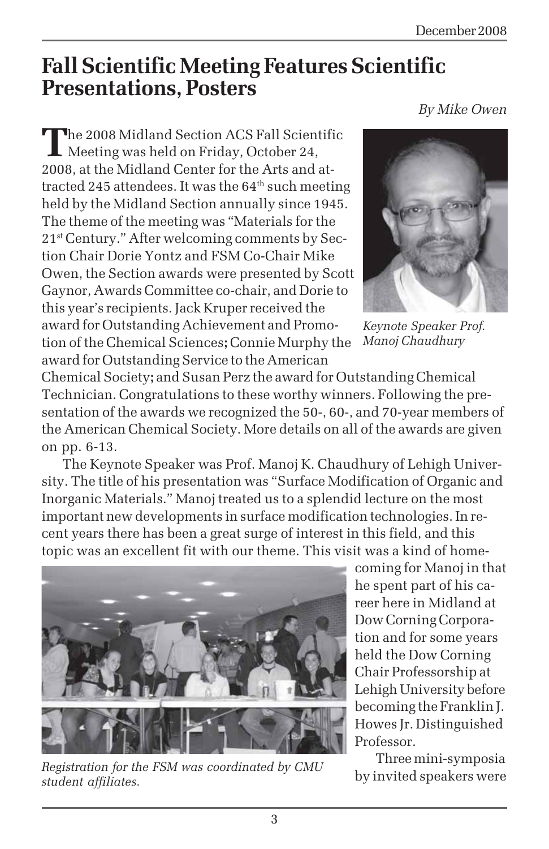*By Mike Owen*

# **Fall Scientific Meeting Features Scientific Presentations, Posters**

**T**he 2008 Midland Section ACS Fall Scientific **L** Meeting was held on Friday, October 24, 2008, at the Midland Center for the Arts and attracted 245 attendees. It was the  $64<sup>th</sup>$  such meeting held by the Midland Section annually since 1945. The theme of the meeting was "Materials for the 21st Century." After welcoming comments by Section Chair Dorie Yontz and FSM Co-Chair Mike Owen, the Section awards were presented by Scott Gaynor, Awards Committee co-chair, and Dorie to this year's recipients. Jack Kruper received the award for Outstanding Achievement and Promotion of the Chemical Sciences**;** Connie Murphy the award for Outstanding Service to the American



*Keynote Speaker Prof. Manoj Chaudhury*

Chemical Society**;** and Susan Perz the award for Outstanding Chemical Technician. Congratulations to these worthy winners. Following the presentation of the awards we recognized the 50-, 60-, and 70-year members of the American Chemical Society. More details on all of the awards are given on pp. 6-13.

The Keynote Speaker was Prof. Manoj K. Chaudhury of Lehigh University. The title of his presentation was "Surface Modification of Organic and Inorganic Materials." Manoj treated us to a splendid lecture on the most important new developments in surface modification technologies. In recent years there has been a great surge of interest in this field, and this topic was an excellent fit with our theme. This visit was a kind of home-



*Registration for the FSM was coordinated by CMU student affiliates.*

coming for Manoj in that he spent part of his career here in Midland at Dow Corning Corporation and for some years held the Dow Corning Chair Professorship at Lehigh University before becoming the Franklin J. Howes Jr. Distinguished Professor.

Three mini-symposia by invited speakers were

3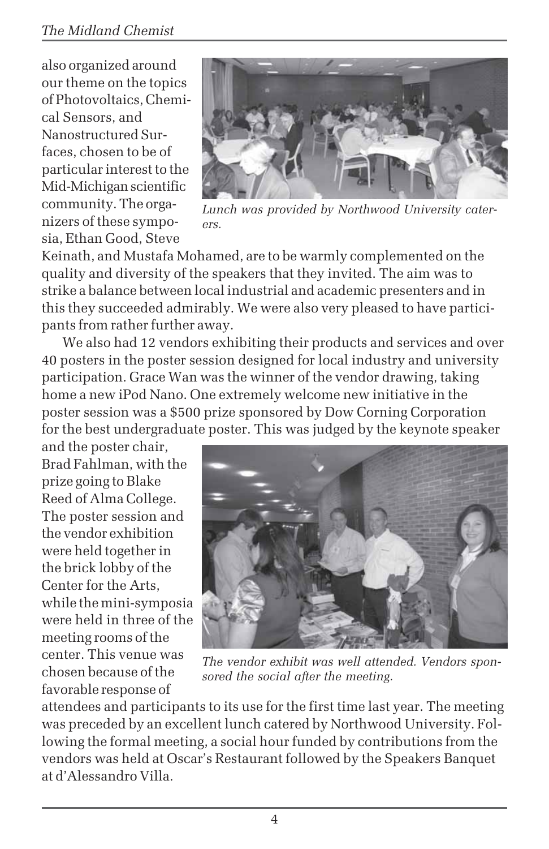## *The Midland Chemist*

also organized around our theme on the topics of Photovoltaics, Chemical Sensors, and Nanostructured Surfaces, chosen to be of particular interest to the Mid-Michigan scientific community. The organizers of these symposia, Ethan Good, Steve



*Lunch was provided by Northwood University caterers.*

Keinath, and Mustafa Mohamed, are to be warmly complemented on the quality and diversity of the speakers that they invited. The aim was to strike a balance between local industrial and academic presenters and in this they succeeded admirably. We were also very pleased to have participants from rather further away.

We also had 12 vendors exhibiting their products and services and over 40 posters in the poster session designed for local industry and university participation. Grace Wan was the winner of the vendor drawing, taking home a new iPod Nano. One extremely welcome new initiative in the poster session was a \$500 prize sponsored by Dow Corning Corporation for the best undergraduate poster. This was judged by the keynote speaker

and the poster chair, Brad Fahlman, with the prize going to Blake Reed of Alma College. The poster session and the vendor exhibition were held together in the brick lobby of the Center for the Arts, while the mini-symposia were held in three of the meeting rooms of the center. This venue was chosen because of the favorable response of



*The vendor exhibit was well attended. Vendors sponsored the social after the meeting.*

attendees and participants to its use for the first time last year. The meeting was preceded by an excellent lunch catered by Northwood University. Following the formal meeting, a social hour funded by contributions from the vendors was held at Oscar's Restaurant followed by the Speakers Banquet at d'Alessandro Villa.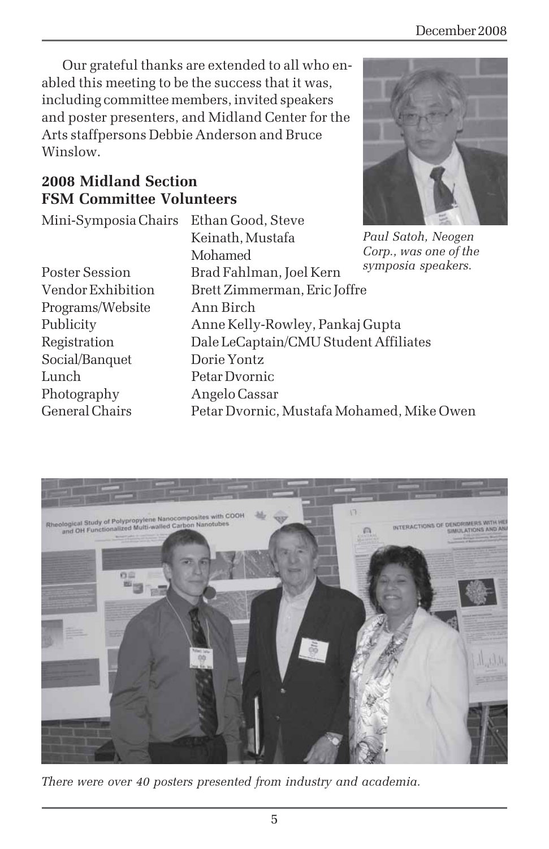Our grateful thanks are extended to all who enabled this meeting to be the success that it was, including committee members, invited speakers and poster presenters, and Midland Center for the Arts staffpersons Debbie Anderson and Bruce Winslow.

## **2008 Midland Section FSM Committee Volunteers**

Mini-Symposia Chairs Ethan Good, Steve

Programs/Website Ann Birch Social/Banquet Dorie Yontz Lunch Petar Dvornic Photography Angelo Cassar

Keinath, Mustafa Mohamed Poster Session Brad Fahlman, Joel Kern Vendor Exhibition Brett Zimmerman, Eric Joffre Publicity Anne Kelly-Rowley, Pankaj Gupta Registration Dale LeCaptain/CMU Student Affiliates General Chairs Petar Dvornic, Mustafa Mohamed, Mike Owen *symposia speakers.*



*Paul Satoh, Neogen Corp., was one of the*



*There were over 40 posters presented from industry and academia.*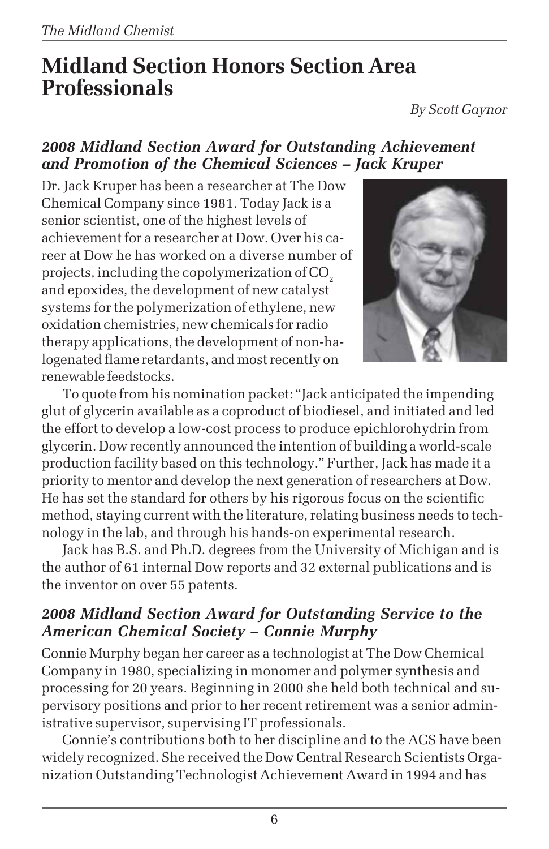# **Midland Section Honors Section Area Professionals**

*By Scott Gaynor*

## *2008 Midland Section Award for Outstanding Achievement and Promotion of the Chemical Sciences – Jack Kruper*

Dr. Jack Kruper has been a researcher at The Dow Chemical Company since 1981. Today Jack is a senior scientist, one of the highest levels of achievement for a researcher at Dow. Over his career at Dow he has worked on a diverse number of projects, including the copolymerization of CO<sub>2</sub> and epoxides, the development of new catalyst systems for the polymerization of ethylene, new oxidation chemistries, new chemicals for radio therapy applications, the development of non-halogenated flame retardants, and most recently on renewable feedstocks.



To quote from his nomination packet: "Jack anticipated the impending glut of glycerin available as a coproduct of biodiesel, and initiated and led the effort to develop a low-cost process to produce epichlorohydrin from glycerin. Dow recently announced the intention of building a world-scale production facility based on this technology." Further, Jack has made it a priority to mentor and develop the next generation of researchers at Dow. He has set the standard for others by his rigorous focus on the scientific method, staying current with the literature, relating business needs to technology in the lab, and through his hands-on experimental research.

Jack has B.S. and Ph.D. degrees from the University of Michigan and is the author of 61 internal Dow reports and 32 external publications and is the inventor on over 55 patents.

## *2008 Midland Section Award for Outstanding Service to the American Chemical Society – Connie Murphy*

Connie Murphy began her career as a technologist at The Dow Chemical Company in 1980, specializing in monomer and polymer synthesis and processing for 20 years. Beginning in 2000 she held both technical and supervisory positions and prior to her recent retirement was a senior administrative supervisor, supervising IT professionals.

Connie's contributions both to her discipline and to the ACS have been widely recognized. She received the Dow Central Research Scientists Organization Outstanding Technologist Achievement Award in 1994 and has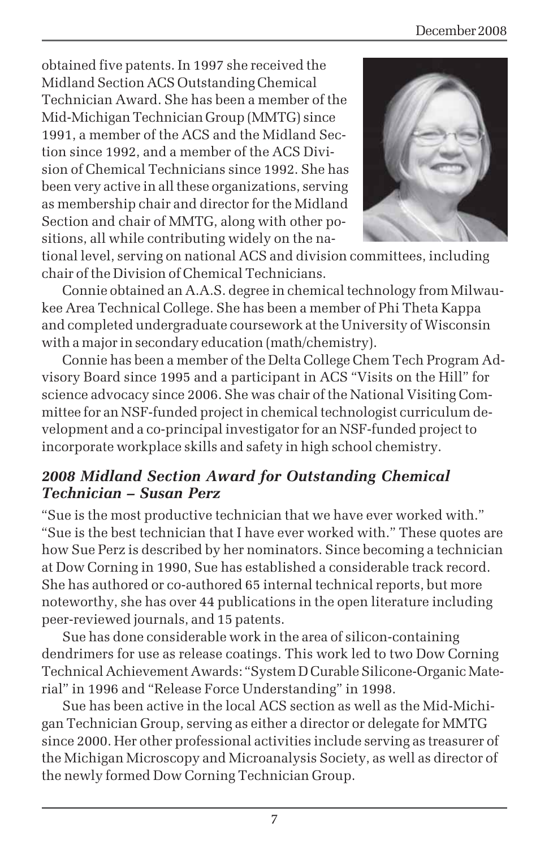obtained five patents. In 1997 she received the Midland Section ACS Outstanding Chemical Technician Award. She has been a member of the Mid-Michigan Technician Group (MMTG) since 1991, a member of the ACS and the Midland Section since 1992, and a member of the ACS Division of Chemical Technicians since 1992. She has been very active in all these organizations, serving as membership chair and director for the Midland Section and chair of MMTG, along with other positions, all while contributing widely on the na-



tional level, serving on national ACS and division committees, including chair of the Division of Chemical Technicians.

Connie obtained an A.A.S. degree in chemical technology from Milwaukee Area Technical College. She has been a member of Phi Theta Kappa and completed undergraduate coursework at the University of Wisconsin with a major in secondary education (math/chemistry).

Connie has been a member of the Delta College Chem Tech Program Advisory Board since 1995 and a participant in ACS "Visits on the Hill" for science advocacy since 2006. She was chair of the National Visiting Committee for an NSF-funded project in chemical technologist curriculum development and a co-principal investigator for an NSF-funded project to incorporate workplace skills and safety in high school chemistry.

## *2008 Midland Section Award for Outstanding Chemical Technician – Susan Perz*

"Sue is the most productive technician that we have ever worked with." "Sue is the best technician that I have ever worked with." These quotes are how Sue Perz is described by her nominators. Since becoming a technician at Dow Corning in 1990, Sue has established a considerable track record. She has authored or co-authored 65 internal technical reports, but more noteworthy, she has over 44 publications in the open literature including peer-reviewed journals, and 15 patents.

Sue has done considerable work in the area of silicon-containing dendrimers for use as release coatings. This work led to two Dow Corning Technical Achievement Awards: "System D Curable Silicone-Organic Material" in 1996 and "Release Force Understanding" in 1998.

Sue has been active in the local ACS section as well as the Mid-Michigan Technician Group, serving as either a director or delegate for MMTG since 2000. Her other professional activities include serving as treasurer of the Michigan Microscopy and Microanalysis Society, as well as director of the newly formed Dow Corning Technician Group.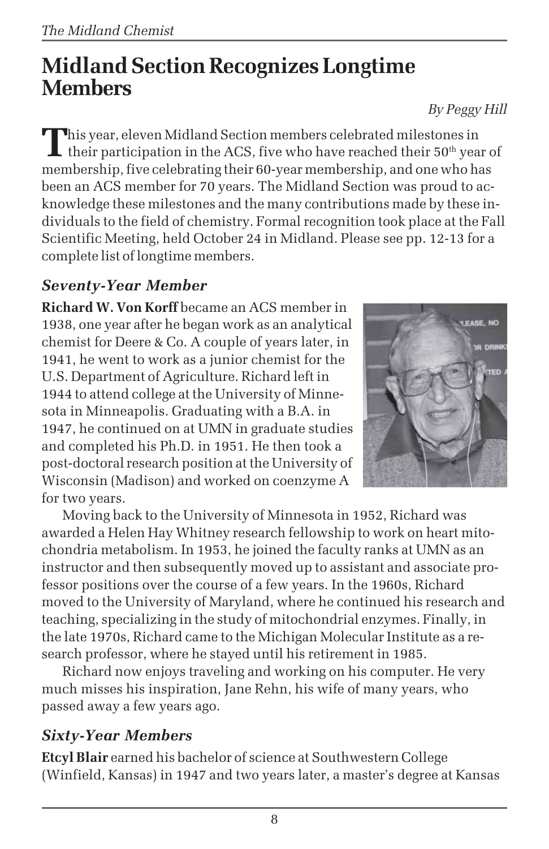# **Midland Section Recognizes Longtime Members**

This year, eleven Midland Section members celebrated milestones in<br>their participation in the ACS, five who have reached their 50<sup>th</sup> year of membership, five celebrating their 60-year membership, and one who has been an ACS member for 70 years. The Midland Section was proud to acknowledge these milestones and the many contributions made by these individuals to the field of chemistry. Formal recognition took place at the Fall Scientific Meeting, held October 24 in Midland. Please see pp. 12-13 for a complete list of longtime members.

## *Seventy-Year Member*

**Richard W. Von Korff** became an ACS member in 1938, one year after he began work as an analytical chemist for Deere & Co. A couple of years later, in 1941, he went to work as a junior chemist for the U.S. Department of Agriculture. Richard left in 1944 to attend college at the University of Minnesota in Minneapolis. Graduating with a B.A. in 1947, he continued on at UMN in graduate studies and completed his Ph.D. in 1951. He then took a post-doctoral research position at the University of Wisconsin (Madison) and worked on coenzyme A for two years.



Moving back to the University of Minnesota in 1952, Richard was awarded a Helen Hay Whitney research fellowship to work on heart mitochondria metabolism. In 1953, he joined the faculty ranks at UMN as an instructor and then subsequently moved up to assistant and associate professor positions over the course of a few years. In the 1960s, Richard moved to the University of Maryland, where he continued his research and teaching, specializing in the study of mitochondrial enzymes. Finally, in the late 1970s, Richard came to the Michigan Molecular Institute as a research professor, where he stayed until his retirement in 1985.

Richard now enjoys traveling and working on his computer. He very much misses his inspiration, Jane Rehn, his wife of many years, who passed away a few years ago.

## *Sixty-Year Members*

**Etcyl Blair** earned his bachelor of science at Southwestern College (Winfield, Kansas) in 1947 and two years later, a master's degree at Kansas

*By Peggy Hill*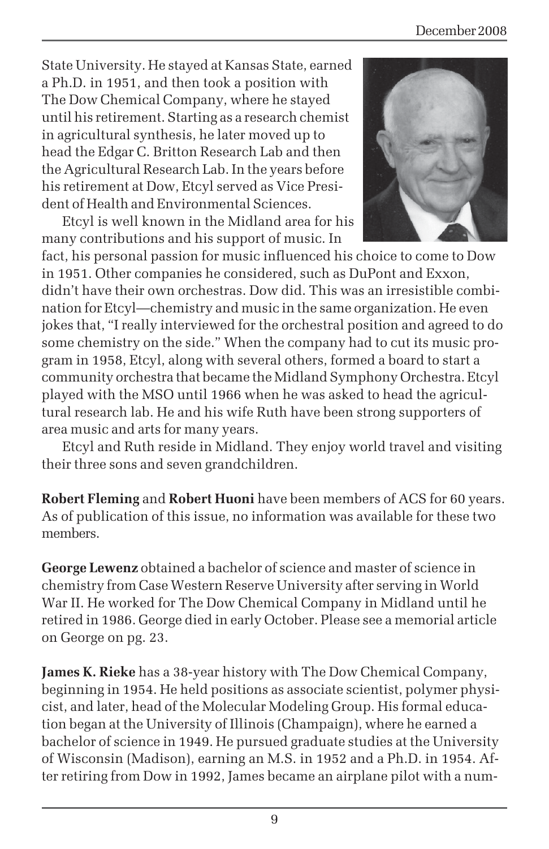State University. He stayed at Kansas State, earned a Ph.D. in 1951, and then took a position with The Dow Chemical Company, where he stayed until his retirement. Starting as a research chemist in agricultural synthesis, he later moved up to head the Edgar C. Britton Research Lab and then the Agricultural Research Lab. In the years before his retirement at Dow, Etcyl served as Vice President of Health and Environmental Sciences.

Etcyl is well known in the Midland area for his many contributions and his support of music. In



fact, his personal passion for music influenced his choice to come to Dow in 1951. Other companies he considered, such as DuPont and Exxon, didn't have their own orchestras. Dow did. This was an irresistible combination for Etcyl—chemistry and music in the same organization. He even jokes that, "I really interviewed for the orchestral position and agreed to do some chemistry on the side." When the company had to cut its music program in 1958, Etcyl, along with several others, formed a board to start a community orchestra that became the Midland Symphony Orchestra. Etcyl played with the MSO until 1966 when he was asked to head the agricultural research lab. He and his wife Ruth have been strong supporters of area music and arts for many years.

Etcyl and Ruth reside in Midland. They enjoy world travel and visiting their three sons and seven grandchildren.

**Robert Fleming** and **Robert Huoni** have been members of ACS for 60 years. As of publication of this issue, no information was available for these two members.

**George Lewenz** obtained a bachelor of science and master of science in chemistry from Case Western Reserve University after serving in World War II. He worked for The Dow Chemical Company in Midland until he retired in 1986. George died in early October. Please see a memorial article on George on pg. 23.

**James K. Rieke** has a 38-year history with The Dow Chemical Company, beginning in 1954. He held positions as associate scientist, polymer physicist, and later, head of the Molecular Modeling Group. His formal education began at the University of Illinois (Champaign), where he earned a bachelor of science in 1949. He pursued graduate studies at the University of Wisconsin (Madison), earning an M.S. in 1952 and a Ph.D. in 1954. After retiring from Dow in 1992, James became an airplane pilot with a num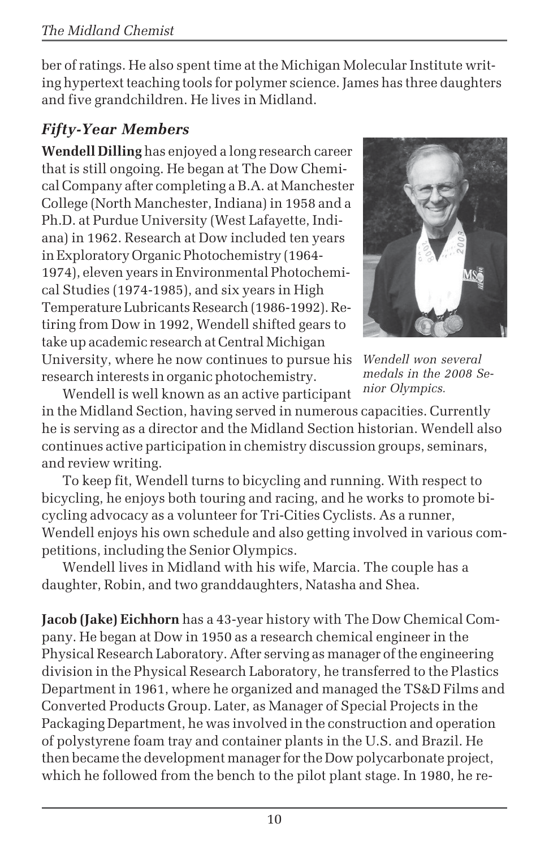ber of ratings. He also spent time at the Michigan Molecular Institute writing hypertext teaching tools for polymer science. James has three daughters and five grandchildren. He lives in Midland.

## *Fifty-Year Members*

**Wendell Dilling** has enjoyed a long research career that is still ongoing. He began at The Dow Chemical Company after completing a B.A. at Manchester College (North Manchester, Indiana) in 1958 and a Ph.D. at Purdue University (West Lafayette, Indiana) in 1962. Research at Dow included ten years in Exploratory Organic Photochemistry (1964- 1974), eleven years in Environmental Photochemical Studies (1974-1985), and six years in High Temperature Lubricants Research (1986-1992). Retiring from Dow in 1992, Wendell shifted gears to take up academic research at Central Michigan University, where he now continues to pursue his research interests in organic photochemistry.



*Wendell won several medals in the 2008 Senior Olympics.*

Wendell is well known as an active participant in the Midland Section, having served in numerous capacities. Currently he is serving as a director and the Midland Section historian. Wendell also continues active participation in chemistry discussion groups, seminars, and review writing.

To keep fit, Wendell turns to bicycling and running. With respect to bicycling, he enjoys both touring and racing, and he works to promote bicycling advocacy as a volunteer for Tri-Cities Cyclists. As a runner, Wendell enjoys his own schedule and also getting involved in various competitions, including the Senior Olympics.

Wendell lives in Midland with his wife, Marcia. The couple has a daughter, Robin, and two granddaughters, Natasha and Shea.

**Jacob (Jake) Eichhorn** has a 43-year history with The Dow Chemical Company. He began at Dow in 1950 as a research chemical engineer in the Physical Research Laboratory. After serving as manager of the engineering division in the Physical Research Laboratory, he transferred to the Plastics Department in 1961, where he organized and managed the TS&D Films and Converted Products Group. Later, as Manager of Special Projects in the Packaging Department, he was involved in the construction and operation of polystyrene foam tray and container plants in the U.S. and Brazil. He then became the development manager for the Dow polycarbonate project, which he followed from the bench to the pilot plant stage. In 1980, he re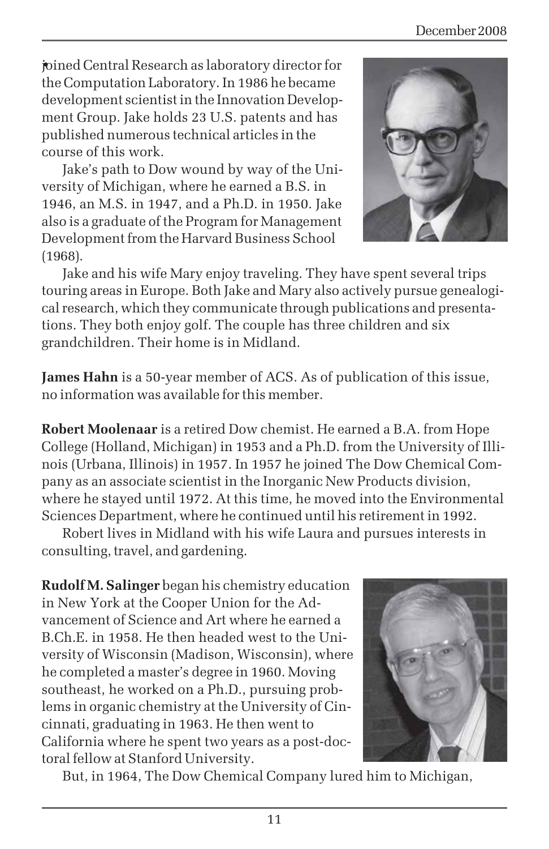joined Central Research as laboratory director for •the Computation Laboratory. In 1986 he became development scientist in the Innovation Development Group. Jake holds 23 U.S. patents and has published numerous technical articles in the course of this work.

Jake's path to Dow wound by way of the University of Michigan, where he earned a B.S. in 1946, an M.S. in 1947, and a Ph.D. in 1950. Jake also is a graduate of the Program for Management Development from the Harvard Business School (1968).



Jake and his wife Mary enjoy traveling. They have spent several trips touring areas in Europe. Both Jake and Mary also actively pursue genealogical research, which they communicate through publications and presentations. They both enjoy golf. The couple has three children and six grandchildren. Their home is in Midland.

**James Hahn** is a 50-year member of ACS. As of publication of this issue, no information was available for this member.

**Robert Moolenaar** is a retired Dow chemist. He earned a B.A. from Hope College (Holland, Michigan) in 1953 and a Ph.D. from the University of Illinois (Urbana, Illinois) in 1957. In 1957 he joined The Dow Chemical Company as an associate scientist in the Inorganic New Products division, where he stayed until 1972. At this time, he moved into the Environmental Sciences Department, where he continued until his retirement in 1992.

Robert lives in Midland with his wife Laura and pursues interests in consulting, travel, and gardening.

**Rudolf M. Salinger** began his chemistry education in New York at the Cooper Union for the Advancement of Science and Art where he earned a B.Ch.E. in 1958. He then headed west to the University of Wisconsin (Madison, Wisconsin), where he completed a master's degree in 1960. Moving southeast, he worked on a Ph.D., pursuing problems in organic chemistry at the University of Cincinnati, graduating in 1963. He then went to California where he spent two years as a post-doctoral fellow at Stanford University.



But, in 1964, The Dow Chemical Company lured him to Michigan,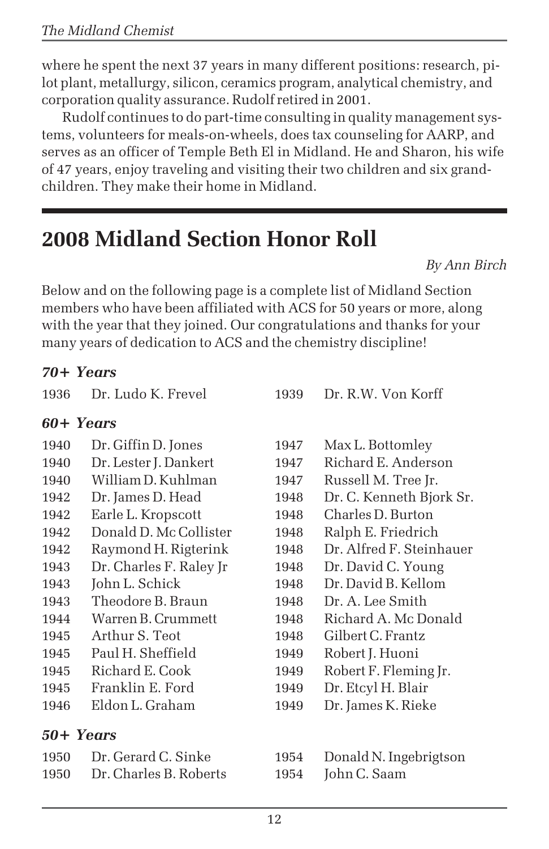where he spent the next 37 years in many different positions: research, pilot plant, metallurgy, silicon, ceramics program, analytical chemistry, and corporation quality assurance. Rudolf retired in 2001.

Rudolf continues to do part-time consulting in quality management systems, volunteers for meals-on-wheels, does tax counseling for AARP, and serves as an officer of Temple Beth El in Midland. He and Sharon, his wife of 47 years, enjoy traveling and visiting their two children and six grandchildren. They make their home in Midland.

# **2008 Midland Section Honor Roll**

*By Ann Birch*

Below and on the following page is a complete list of Midland Section members who have been affiliated with ACS for 50 years or more, along with the year that they joined. Our congratulations and thanks for your many years of dedication to ACS and the chemistry discipline!

## *70+ Years*

| 1936      | Dr. Ludo K. Frevel      | 1939 | Dr. R.W. Von Korff       |
|-----------|-------------------------|------|--------------------------|
|           | 60+ Years               |      |                          |
| 1940      | Dr. Giffin D. Jones     | 1947 | Max L. Bottomley         |
| 1940      | Dr. Lester J. Dankert   | 1947 | Richard E. Anderson      |
| 1940      | William D. Kuhlman      | 1947 | Russell M. Tree Jr.      |
| 1942      | Dr. James D. Head       | 1948 | Dr. C. Kenneth Bjork Sr. |
| 1942      | Earle L. Kropscott      | 1948 | Charles D. Burton        |
| 1942      | Donald D. Mc Collister  | 1948 | Ralph E. Friedrich       |
| 1942      | Raymond H. Rigterink    | 1948 | Dr. Alfred F. Steinhauer |
| 1943      | Dr. Charles F. Raley Jr | 1948 | Dr. David C. Young       |
| 1943      | John L. Schick          | 1948 | Dr. David B. Kellom      |
| 1943      | Theodore B. Braun       | 1948 | Dr. A. Lee Smith         |
| 1944      | Warren B. Crummett      | 1948 | Richard A. Mc Donald     |
| 1945      | Arthur S. Teot          | 1948 | Gilbert C. Frantz        |
| 1945      | Paul H. Sheffield       | 1949 | Robert J. Huoni          |
| 1945      | Richard E. Cook         | 1949 | Robert F. Fleming Jr.    |
| 1945      | Franklin E. Ford        | 1949 | Dr. Etcyl H. Blair       |
| 1946      | Eldon L. Graham         | 1949 | Dr. James K. Rieke       |
| 50+ Years |                         |      |                          |
| 1950      | Dr. Gerard C. Sinke     | 1954 | Donald N. Ingebrigtson   |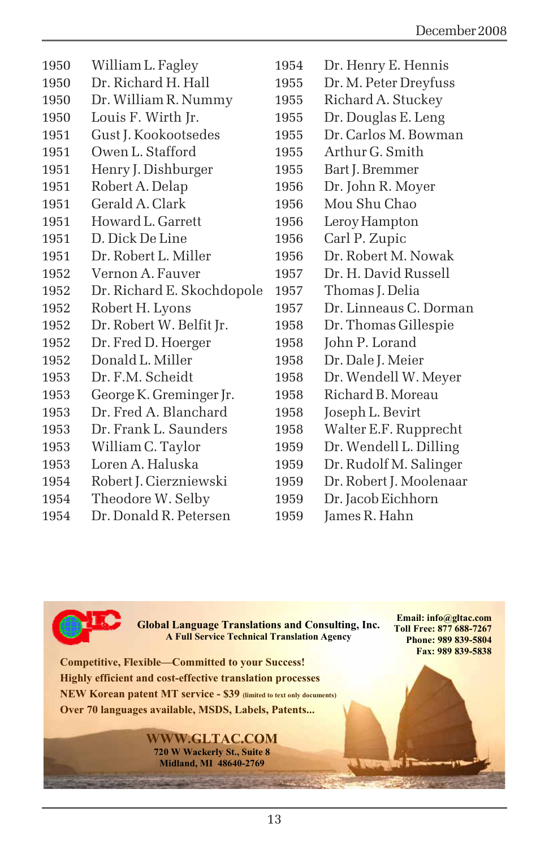| 1950 | William L. Fagley          | 1954             | Dr. Henry E. Hennis          |
|------|----------------------------|------------------|------------------------------|
| 1950 | Dr. Richard H. Hall        | 1955             | Dr. M. Peter Dreyfuss        |
| 1950 | Dr. William R. Nummy       | 1955             | Richard A. Stuckey           |
| 1950 | Louis F. Wirth Jr.         | 1955             | Dr. Douglas E. Leng          |
| 1951 | Gust J. Kookootsedes       | 1955             | Dr. Carlos M. Bowman         |
| 1951 | Owen L. Stafford           | 1955             | Arthur G. Smith              |
| 1951 | Henry J. Dishburger        | 1955             | Bart J. Bremmer              |
| 1951 | Robert A. Delap            | 1956             | Dr. John R. Moyer            |
| 1951 | Gerald A. Clark            | 1956             | Mou Shu Chao                 |
| 1951 | Howard L. Garrett          | 1956             | Leroy Hampton                |
| 1951 | D. Dick De Line            | 1956             | Carl P. Zupic                |
| 1951 | Dr. Robert L. Miller       | 1956             | Dr. Robert M. Nowak          |
| 1952 | Vernon A. Fauver           | 1957             | Dr. H. David Russell         |
| 1952 | Dr. Richard E. Skochdopole | 1957             | Thomas J. Delia              |
| 1952 | Robert H. Lyons            | 1957             | Dr. Linneaus C. Dorman       |
| 1952 | Dr. Robert W. Belfit Jr.   | 1958             | Dr. Thomas Gillespie         |
| 1952 | Dr. Fred D. Hoerger        | 1958             | John P. Lorand               |
| 1952 | Donald L. Miller           | 1958             | Dr. Dale J. Meier            |
| 1953 | Dr. F.M. Scheidt           | 1958             | Dr. Wendell W. Meyer         |
| 1953 | George K. Greminger Jr.    | 1958             | Richard B. Moreau            |
| 1953 | Dr. Fred A. Blanchard      | 1958             | Joseph L. Bevirt             |
| 1953 | Dr. Frank L. Saunders      | 1958             | Walter E.F. Rupprecht        |
| 1953 | William C. Taylor          | 1959             | Dr. Wendell L. Dilling       |
| 1953 | Loren A. Haluska           | 1959             | Dr. Rudolf M. Salinger       |
| 1954 | Robert J. Cierzniewski     | 1959             | Dr. Robert J. Moolenaar      |
| 1954 | Theodore W. Selby          | 1959             | Dr. Jacob Eichhorn           |
| 40F  |                            | 10F <sub>0</sub> | $T_{\text{max}} = T \cdot T$ |



**Global Language Translations and Consulting, Inc. A Full Service Technical Translation Agency** 

**Email: info@gltac.com Toll Free: 877 688-7267 Phone: 989 839-5804 Fax: 989 839-5838** 

**Competitive, Flexible—Committed to your Success! Highly efficient and cost-effective translation processes NEW Korean patent MT service - \$39 (limited to text only documents) Over 70 languages available, MSDS, Labels, Patents...** 

> **WWW.GLTAC.COM 720 W Wackerly St., Suite 8 Midland, MI 48640-2769**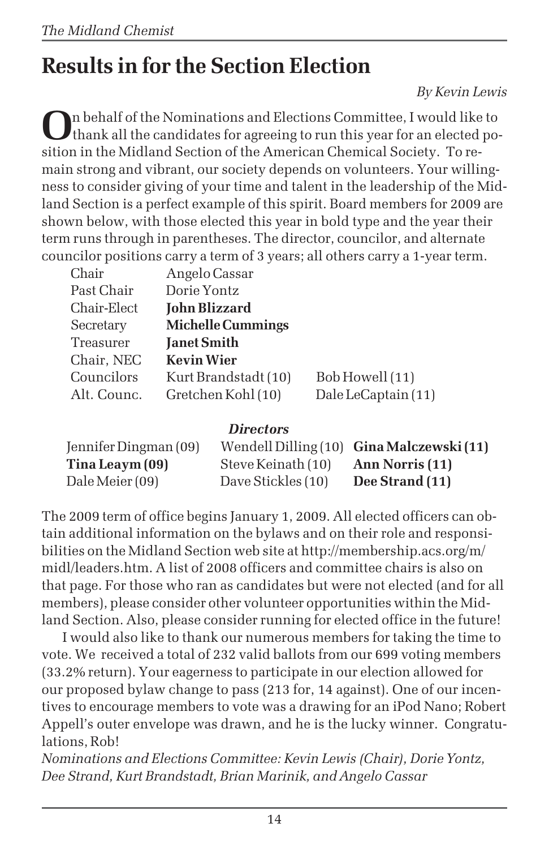# **Results in for the Section Election**

*By Kevin Lewis*

**O**n behalf of the Nominations and Elections Committee, I would like to thank all the candidates for agreeing to run this year for an elected position in the Midland Section of the American Chemical Society. To remain strong and vibrant, our society depends on volunteers. Your willingness to consider giving of your time and talent in the leadership of the Midland Section is a perfect example of this spirit. Board members for 2009 are shown below, with those elected this year in bold type and the year their term runs through in parentheses. The director, councilor, and alternate councilor positions carry a term of 3 years; all others carry a 1-year term.

| Chair       | Angelo Cassar            |                     |
|-------------|--------------------------|---------------------|
| Past Chair  | Dorie Yontz              |                     |
| Chair-Elect | <b>John Blizzard</b>     |                     |
| Secretary   | <b>Michelle Cummings</b> |                     |
| Treasurer   | <b>Janet Smith</b>       |                     |
| Chair, NEC  | <b>Kevin Wier</b>        |                     |
| Councilors  | Kurt Brandstadt (10)     | Bob Howell (11)     |
| Alt. Counc. | Gretchen Kohl (10)       | Dale LeCaptain (11) |
|             |                          |                     |

#### *Directors*

| Jennifer Dingman (09) |                    | Wendell Dilling (10) Gina Malczewski (11) |
|-----------------------|--------------------|-------------------------------------------|
| Tina Leaym (09)       | Steve Keinath (10) | Ann Norris (11)                           |
| Dale Meier (09)       | Dave Stickles (10) | Dee Strand (11)                           |

The 2009 term of office begins January 1, 2009. All elected officers can obtain additional information on the bylaws and on their role and responsibilities on the Midland Section web site at http://membership.acs.org/m/ midl/leaders.htm. A list of 2008 officers and committee chairs is also on that page. For those who ran as candidates but were not elected (and for all members), please consider other volunteer opportunities within the Midland Section. Also, please consider running for elected office in the future!

I would also like to thank our numerous members for taking the time to vote. We received a total of 232 valid ballots from our 699 voting members (33.2% return). Your eagerness to participate in our election allowed for our proposed bylaw change to pass (213 for, 14 against). One of our incentives to encourage members to vote was a drawing for an iPod Nano; Robert Appell's outer envelope was drawn, and he is the lucky winner. Congratulations, Rob!

*Nominations and Elections Committee: Kevin Lewis (Chair), Dorie Yontz, Dee Strand, Kurt Brandstadt, Brian Marinik, and Angelo Cassar*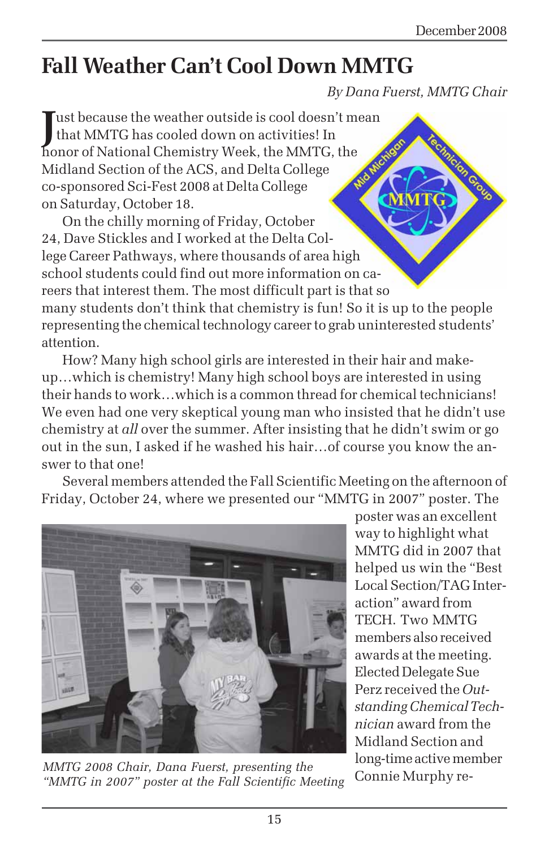# **Fall Weather Can't Cool Down MMTG**

*By Dana Fuerst, MMTG Chair*

**J**ust because the weather outside is cool doesn't m<br>that MMTG has cooled down on activities! In<br>honor of National Chemistry Week, the MMTG, the I ust because the weather outside is cool doesn't mean that MMTG has cooled down on activities! In Midland Section of the ACS, and Delta College co-sponsored Sci-Fest 2008 at Delta College on Saturday, October 18.

On the chilly morning of Friday, October 24, Dave Stickles and I worked at the Delta College Career Pathways, where thousands of area high school students could find out more information on careers that interest them. The most difficult part is that so many students don't think that chemistry is fun! So it is up to the people representing the chemical technology career to grab uninterested students' attention.

How? Many high school girls are interested in their hair and makeup…which is chemistry! Many high school boys are interested in using their hands to work…which is a common thread for chemical technicians! We even had one very skeptical young man who insisted that he didn't use chemistry at *all* over the summer. After insisting that he didn't swim or go out in the sun, I asked if he washed his hair…of course you know the answer to that one!

Several members attended the Fall Scientific Meeting on the afternoon of Friday, October 24, where we presented our "MMTG in 2007" poster. The



Connie Murphy re- *MMTG 2008 Chair, Dana Fuerst, presenting the "MMTG in 2007" poster at the Fall Scientific Meeting*

poster was an excellent way to highlight what MMTG did in 2007 that helped us win the "Best Local Section/TAG Interaction" award from TECH. Two MMTG members also received awards at the meeting. Elected Delegate Sue Perz received the *Outstanding Chemical Technician* award from the Midland Section and long-time active member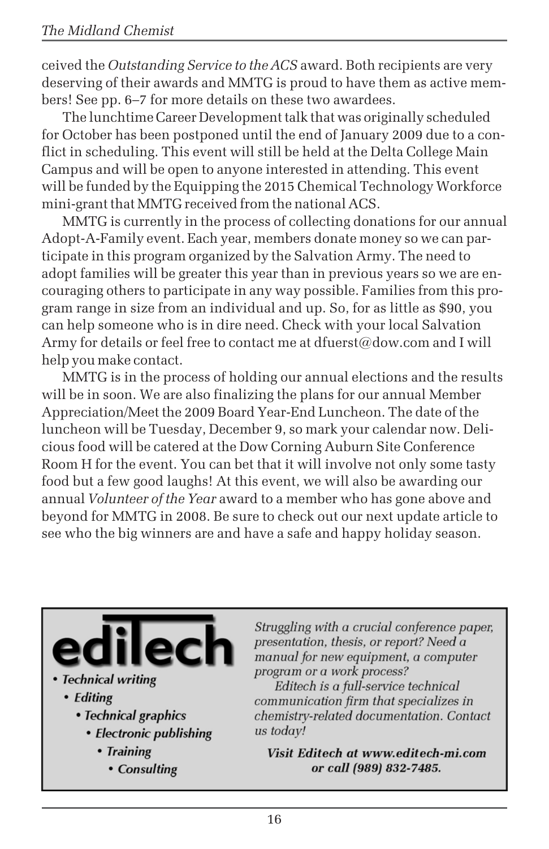ceived the *Outstanding Service to the ACS* award. Both recipients are very deserving of their awards and MMTG is proud to have them as active members! See pp. 6–7 for more details on these two awardees.

The lunchtime Career Development talk that was originally scheduled for October has been postponed until the end of January 2009 due to a conflict in scheduling. This event will still be held at the Delta College Main Campus and will be open to anyone interested in attending. This event will be funded by the Equipping the 2015 Chemical Technology Workforce mini-grant that MMTG received from the national ACS.

MMTG is currently in the process of collecting donations for our annual Adopt-A-Family event. Each year, members donate money so we can participate in this program organized by the Salvation Army. The need to adopt families will be greater this year than in previous years so we are encouraging others to participate in any way possible. Families from this program range in size from an individual and up. So, for as little as \$90, you can help someone who is in dire need. Check with your local Salvation Army for details or feel free to contact me at dfuerst@dow.com and I will help you make contact.

MMTG is in the process of holding our annual elections and the results will be in soon. We are also finalizing the plans for our annual Member Appreciation/Meet the 2009 Board Year-End Luncheon. The date of the luncheon will be Tuesday, December 9, so mark your calendar now. Delicious food will be catered at the Dow Corning Auburn Site Conference Room H for the event. You can bet that it will involve not only some tasty food but a few good laughs! At this event, we will also be awarding our annual *Volunteer of the Year* award to a member who has gone above and beyond for MMTG in 2008. Be sure to check out our next update article to see who the big winners are and have a safe and happy holiday season.



#### • Technical writing

- Editing
	- Technical graphics
		- Electronic publishing
			- Training
				- Consulting

Struggling with a crucial conference paper, presentation, thesis, or report? Need a manual for new equipment, a computer program or a work process?

Editech is a full-service technical communication firm that specializes in chemistry-related documentation. Contact us todav!

Visit Editech at www.editech-mi.com or call (989) 832-7485.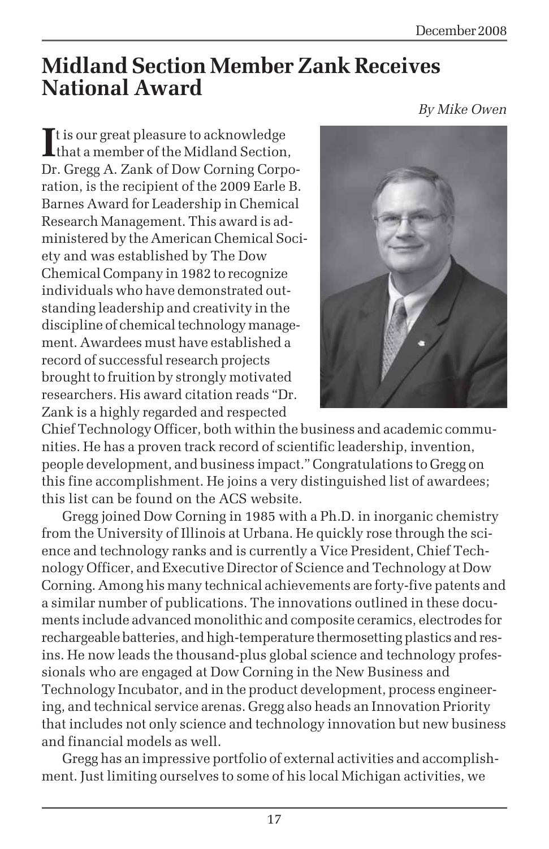# **Midland Section Member Zank Receives National Award**

*By Mike Owen*

It is our great pleasure to acknowledge<br>
that a member of the Midland Section, t is our great pleasure to acknowledge Dr. Gregg A. Zank of Dow Corning Corporation, is the recipient of the 2009 Earle B. Barnes Award for Leadership in Chemical Research Management. This award is administered by the American Chemical Society and was established by The Dow Chemical Company in 1982 to recognize individuals who have demonstrated outstanding leadership and creativity in the discipline of chemical technology management. Awardees must have established a record of successful research projects brought to fruition by strongly motivated researchers. His award citation reads "Dr. Zank is a highly regarded and respected



Chief Technology Officer, both within the business and academic communities. He has a proven track record of scientific leadership, invention, people development, and business impact." Congratulations to Gregg on this fine accomplishment. He joins a very distinguished list of awardees; this list can be found on the ACS website.

Gregg joined Dow Corning in 1985 with a Ph.D. in inorganic chemistry from the University of Illinois at Urbana. He quickly rose through the science and technology ranks and is currently a Vice President, Chief Technology Officer, and Executive Director of Science and Technology at Dow Corning. Among his many technical achievements are forty-five patents and a similar number of publications. The innovations outlined in these documents include advanced monolithic and composite ceramics, electrodes for rechargeable batteries, and high-temperature thermosetting plastics and resins. He now leads the thousand-plus global science and technology professionals who are engaged at Dow Corning in the New Business and Technology Incubator, and in the product development, process engineering, and technical service arenas. Gregg also heads an Innovation Priority that includes not only science and technology innovation but new business and financial models as well.

Gregg has an impressive portfolio of external activities and accomplishment. Just limiting ourselves to some of his local Michigan activities, we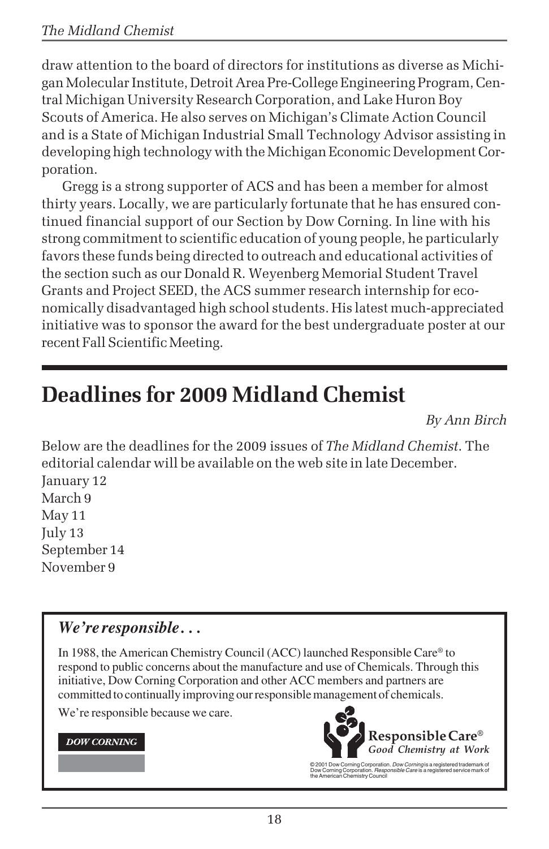draw attention to the board of directors for institutions as diverse as Michigan Molecular Institute, Detroit Area Pre-College Engineering Program, Central Michigan University Research Corporation, and Lake Huron Boy Scouts of America. He also serves on Michigan's Climate Action Council and is a State of Michigan Industrial Small Technology Advisor assisting in developing high technology with the Michigan Economic Development Corporation.

Gregg is a strong supporter of ACS and has been a member for almost thirty years. Locally, we are particularly fortunate that he has ensured continued financial support of our Section by Dow Corning. In line with his strong commitment to scientific education of young people, he particularly favors these funds being directed to outreach and educational activities of the section such as our Donald R. Weyenberg Memorial Student Travel Grants and Project SEED, the ACS summer research internship for economically disadvantaged high school students. His latest much-appreciated initiative was to sponsor the award for the best undergraduate poster at our recent Fall Scientific Meeting.

# **Deadlines for 2009 Midland Chemist**

*By Ann Birch*

Below are the deadlines for the 2009 issues of *The Midland Chemist*. The editorial calendar will be available on the web site in late December. January 12 March 9 May 11 July 13 September 14 November 9

## *We're responsible . . .*

In 1988, the American Chemistry Council (ACC) launched Responsible Care® to respond to public concerns about the manufacture and use of Chemicals. Through this initiative, Dow Corning Corporation and other ACC members and partners are committed to continually improving our responsible management of chemicals.

We're responsible because we care.

#### **DOW CORNING**



© 2001 Dow Corning Corporation. *Dow Corning* is a registered trademark of<br>Dow Corning Corporation. *Responsible Care* is a registered service mark of<br>the American Chemistry Council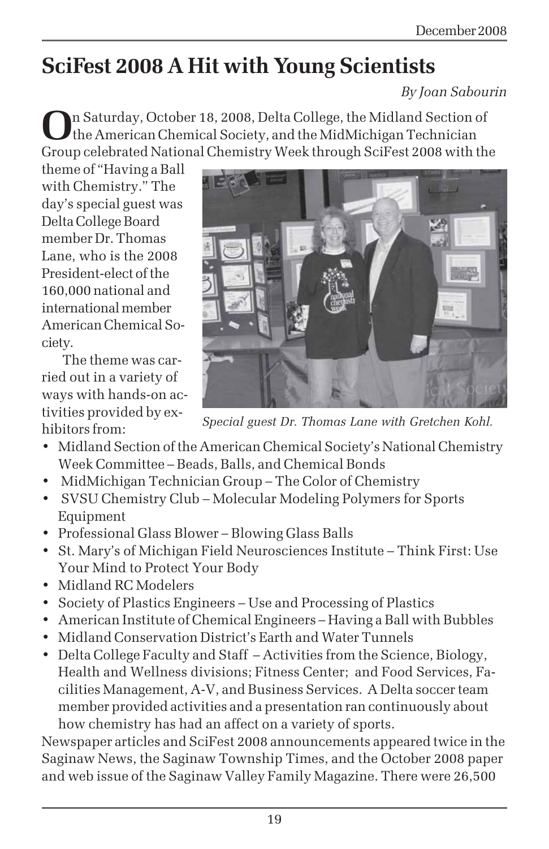# **SciFest 2008 A Hit with Young Scientists**

*By Joan Sabourin*

**O**n Saturday, October 18, 2008, Delta College, the Midland Section of the American Chemical Society, and the MidMichigan Technician Group celebrated National Chemistry Week through SciFest 2008 with the

theme of "Having a Ball with Chemistry." The day's special guest was Delta College Board member Dr. Thomas Lane, who is the 2008 President-elect of the 160,000 national and international member American Chemical Society.

The theme was carried out in a variety of ways with hands-on activities provided by exhibitors from:



*Special guest Dr. Thomas Lane with Gretchen Kohl.*

- Midland Section of the American Chemical Society's National Chemistry Week Committee – Beads, Balls, and Chemical Bonds
- MidMichigan Technician Group The Color of Chemistry
- SVSU Chemistry Club Molecular Modeling Polymers for Sports Equipment
- Professional Glass Blower Blowing Glass Balls
- St. Mary's of Michigan Field Neurosciences Institute Think First: Use Your Mind to Protect Your Body
- Midland RC Modelers
- Society of Plastics Engineers Use and Processing of Plastics
- American Institute of Chemical Engineers Having a Ball with Bubbles
- Midland Conservation District's Earth and Water Tunnels
- Delta College Faculty and Staff Activities from the Science, Biology, Health and Wellness divisions; Fitness Center; and Food Services, Facilities Management, A-V, and Business Services. A Delta soccer team member provided activities and a presentation ran continuously about how chemistry has had an affect on a variety of sports.

Newspaper articles and SciFest 2008 announcements appeared twice in the Saginaw News, the Saginaw Township Times, and the October 2008 paper and web issue of the Saginaw Valley Family Magazine. There were 26,500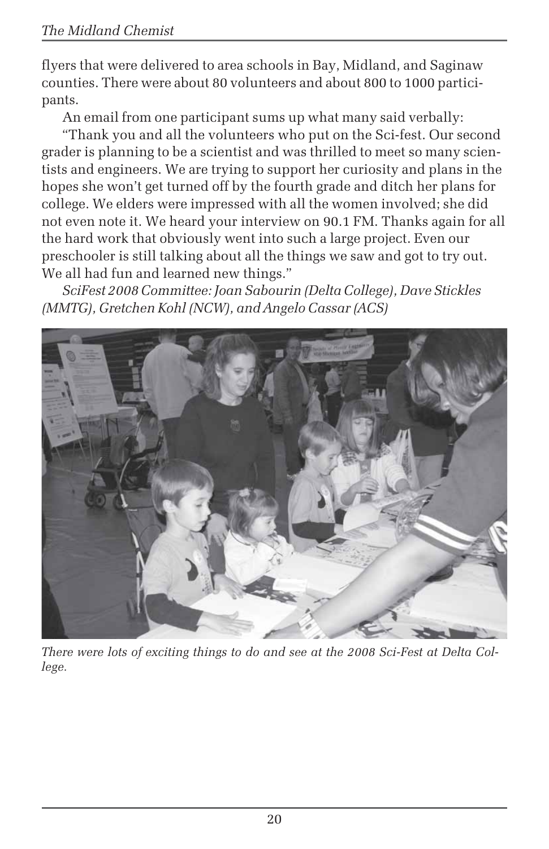flyers that were delivered to area schools in Bay, Midland, and Saginaw counties. There were about 80 volunteers and about 800 to 1000 participants.

An email from one participant sums up what many said verbally:

"Thank you and all the volunteers who put on the Sci-fest. Our second grader is planning to be a scientist and was thrilled to meet so many scientists and engineers. We are trying to support her curiosity and plans in the hopes she won't get turned off by the fourth grade and ditch her plans for college. We elders were impressed with all the women involved; she did not even note it. We heard your interview on 90.1 FM. Thanks again for all the hard work that obviously went into such a large project. Even our preschooler is still talking about all the things we saw and got to try out. We all had fun and learned new things."

*SciFest 2008 Committee: Joan Sabourin (Delta College), Dave Stickles (MMTG), Gretchen Kohl (NCW), and Angelo Cassar (ACS)*



*There were lots of exciting things to do and see at the 2008 Sci-Fest at Delta College.*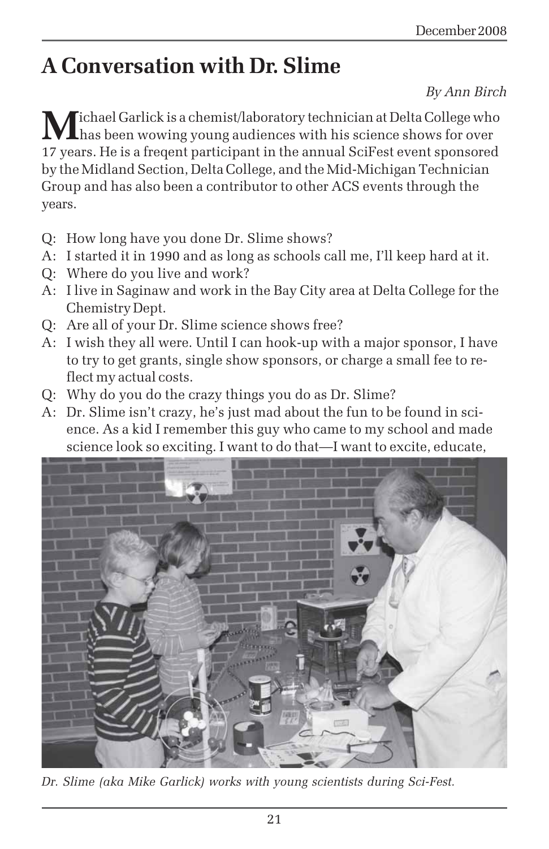# **A Conversation with Dr. Slime**

### *By Ann Birch*

**M**ichael Garlick is a chemist/laboratory technician at Delta College who has been wowing young audiences with his science shows for over 17 years. He is a freqent participant in the annual SciFest event sponsored by the Midland Section, Delta College, and the Mid-Michigan Technician Group and has also been a contributor to other ACS events through the years.

- Q: How long have you done Dr. Slime shows?
- A: I started it in 1990 and as long as schools call me, I'll keep hard at it.
- Q: Where do you live and work?
- A: I live in Saginaw and work in the Bay City area at Delta College for the Chemistry Dept.
- Q: Are all of your Dr. Slime science shows free?
- A: I wish they all were. Until I can hook-up with a major sponsor, I have to try to get grants, single show sponsors, or charge a small fee to reflect my actual costs.
- Q: Why do you do the crazy things you do as Dr. Slime?
- A: Dr. Slime isn't crazy, he's just mad about the fun to be found in science. As a kid I remember this guy who came to my school and made science look so exciting. I want to do that—I want to excite, educate,



*Dr. Slime (aka Mike Garlick) works with young scientists during Sci-Fest.*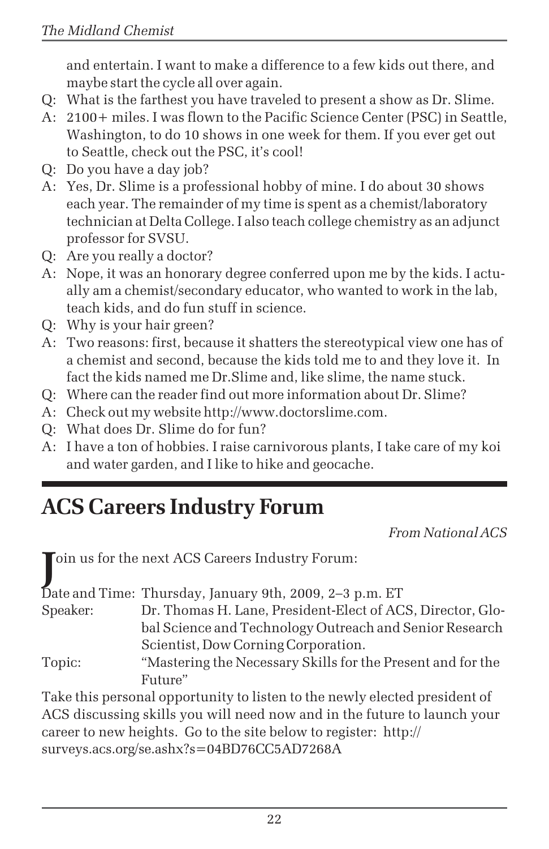and entertain. I want to make a difference to a few kids out there, and maybe start the cycle all over again.

- Q: What is the farthest you have traveled to present a show as Dr. Slime.
- A: 2100+ miles. I was flown to the Pacific Science Center (PSC) in Seattle, Washington, to do 10 shows in one week for them. If you ever get out to Seattle, check out the PSC, it's cool!
- Q: Do you have a day job?
- A: Yes, Dr. Slime is a professional hobby of mine. I do about 30 shows each year. The remainder of my time is spent as a chemist/laboratory technician at Delta College. I also teach college chemistry as an adjunct professor for SVSU.
- Q: Are you really a doctor?
- A: Nope, it was an honorary degree conferred upon me by the kids. I actually am a chemist/secondary educator, who wanted to work in the lab, teach kids, and do fun stuff in science.
- Q: Why is your hair green?
- A: Two reasons: first, because it shatters the stereotypical view one has of a chemist and second, because the kids told me to and they love it. In fact the kids named me Dr.Slime and, like slime, the name stuck.
- Q: Where can the reader find out more information about Dr. Slime?
- A: Check out my website http://www.doctorslime.com.
- Q: What does Dr. Slime do for fun?
- A: I have a ton of hobbies. I raise carnivorous plants, I take care of my koi and water garden, and I like to hike and geocache.

# **ACS Careers Industry Forum**

*From National ACS*

**J**oin us for the next ACS Careers Industry Forum:

|          | Date and Time: Thursday, January 9th, 2009, 2-3 p.m. ET     |
|----------|-------------------------------------------------------------|
| Speaker: | Dr. Thomas H. Lane, President-Elect of ACS, Director, Glo-  |
|          | bal Science and Technology Outreach and Senior Research     |
|          | Scientist, Dow Corning Corporation.                         |
| Topic:   | "Mastering the Necessary Skills for the Present and for the |
|          | Future"                                                     |

Take this personal opportunity to listen to the newly elected president of ACS discussing skills you will need now and in the future to launch your career to new heights. Go to the site below to register: http:// surveys.acs.org/se.ashx?s=04BD76CC5AD7268A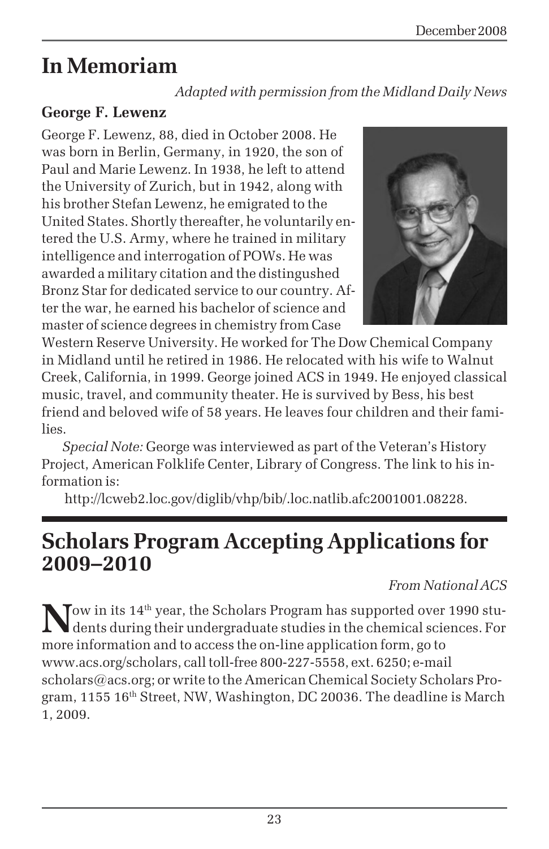# **In Memoriam**

*Adapted with permission from the Midland Daily News*

## **George F. Lewenz**

George F. Lewenz, 88, died in October 2008. He was born in Berlin, Germany, in 1920, the son of Paul and Marie Lewenz. In 1938, he left to attend the University of Zurich, but in 1942, along with his brother Stefan Lewenz, he emigrated to the United States. Shortly thereafter, he voluntarily entered the U.S. Army, where he trained in military intelligence and interrogation of POWs. He was awarded a military citation and the distingushed Bronz Star for dedicated service to our country. After the war, he earned his bachelor of science and master of science degrees in chemistry from Case



Western Reserve University. He worked for The Dow Chemical Company in Midland until he retired in 1986. He relocated with his wife to Walnut Creek, California, in 1999. George joined ACS in 1949. He enjoyed classical music, travel, and community theater. He is survived by Bess, his best friend and beloved wife of 58 years. He leaves four children and their families.

*Special Note:* George was interviewed as part of the Veteran's History Project, American Folklife Center, Library of Congress. The link to his information is:

http://lcweb2.loc.gov/diglib/vhp/bib/.loc.natlib.afc2001001.08228.

## **Scholars Program Accepting Applications for 2009–2010**

## *From National ACS*

Tow in its 14<sup>th</sup> year, the Scholars Program has supported over 1990 students during their undergraduate studies in the chemical sciences. For more information and to access the on-line application form, go to www.acs.org/scholars, call toll-free 800-227-5558, ext. 6250; e-mail scholars@acs.org; or write to the American Chemical Society Scholars Program,  $1155\ 16<sup>th</sup>$  Street, NW, Washington, DC 20036. The deadline is March 1, 2009.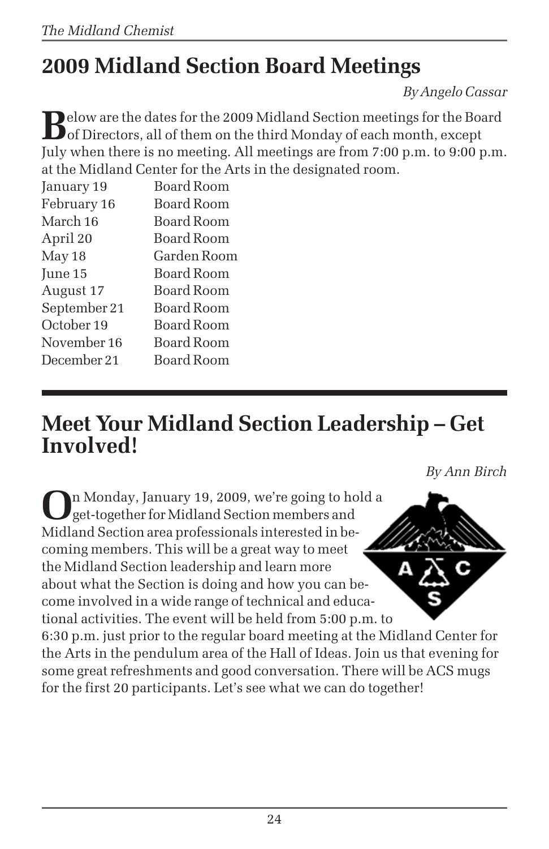# **2009 Midland Section Board Meetings**

*By Angelo Cassar*

**B**elow are the dates for the 2009 Midland Section meetings for the Board<br>of Directors, all of them on the third Monday of each month, except July when there is no meeting. All meetings are from 7:00 p.m. to 9:00 p.m. at the Midland Center for the Arts in the designated room.

| January 19   | Board Room        |
|--------------|-------------------|
| February 16  | <b>Board Room</b> |
| March 16     | Board Room        |
| April 20     | Board Room        |
| May 18       | Garden Room       |
| June 15      | Board Room        |
| August 17    | Board Room        |
| September 21 | Board Room        |
| October 19   | <b>Board Room</b> |
| November 16  | Board Room        |
| December 21  | Board Room        |
|              |                   |

# **Meet Your Midland Section Leadership – Get Involved!**

*By Ann Birch*

**O**n Monday, January 19, 2009, we're going to hold a get-together for Midland Section members and Midland Section area professionals interested in becoming members. This will be a great way to meet the Midland Section leadership and learn more about what the Section is doing and how you can become involved in a wide range of technical and educational activities. The event will be held from 5:00 p.m. to 6:30 p.m. just prior to the regular board meeting at the Midland Center for the Arts in the pendulum area of the Hall of Ideas. Join us that evening for some great refreshments and good conversation. There will be ACS mugs for the first 20 participants. Let's see what we can do together!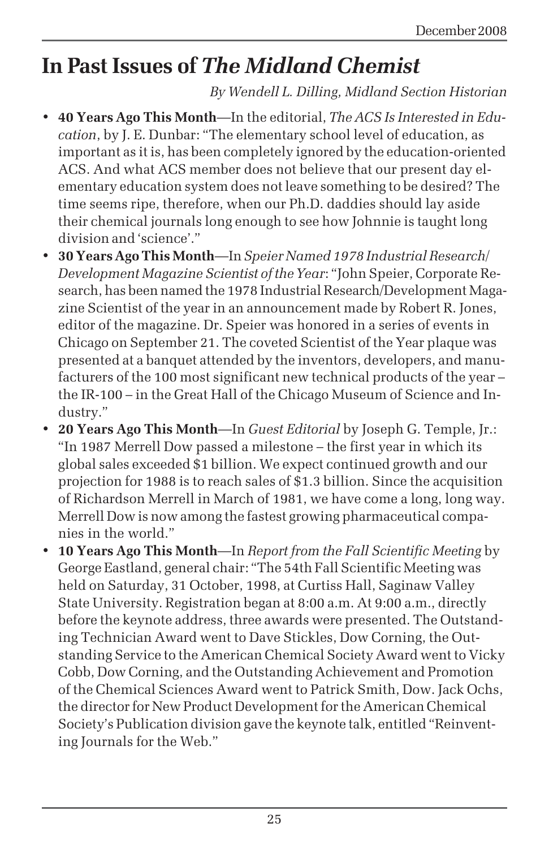# **In Past Issues of** *The Midland Chemist*

## *By Wendell L. Dilling, Midland Section Historian*

- **40 Years Ago This Month**—In the editorial, *The ACS Is Interested in Education*, by J. E. Dunbar: "The elementary school level of education, as important as it is, has been completely ignored by the education-oriented ACS. And what ACS member does not believe that our present day elementary education system does not leave something to be desired? The time seems ripe, therefore, when our Ph.D. daddies should lay aside their chemical journals long enough to see how Johnnie is taught long division and 'science'."
- **30 Years Ago This Month**—In *Speier Named 1978 Industrial Research/ Development Magazine Scientist of the Year*: "John Speier, Corporate Research, has been named the 1978 Industrial Research/Development Magazine Scientist of the year in an announcement made by Robert R. Jones, editor of the magazine. Dr. Speier was honored in a series of events in Chicago on September 21. The coveted Scientist of the Year plaque was presented at a banquet attended by the inventors, developers, and manufacturers of the 100 most significant new technical products of the year – the IR-100 – in the Great Hall of the Chicago Museum of Science and Industry."
- **20 Years Ago This Month**—In *Guest Editorial* by Joseph G. Temple, Jr.: "In 1987 Merrell Dow passed a milestone – the first year in which its global sales exceeded \$1 billion. We expect continued growth and our projection for 1988 is to reach sales of \$1.3 billion. Since the acquisition of Richardson Merrell in March of 1981, we have come a long, long way. Merrell Dow is now among the fastest growing pharmaceutical companies in the world."
- **10 Years Ago This Month**—In *Report from the Fall Scientific Meeting* by George Eastland, general chair: "The 54th Fall Scientific Meeting was held on Saturday, 31 October, 1998, at Curtiss Hall, Saginaw Valley State University. Registration began at 8:00 a.m. At 9:00 a.m., directly before the keynote address, three awards were presented. The Outstanding Technician Award went to Dave Stickles, Dow Corning, the Outstanding Service to the American Chemical Society Award went to Vicky Cobb, Dow Corning, and the Outstanding Achievement and Promotion of the Chemical Sciences Award went to Patrick Smith, Dow. Jack Ochs, the director for New Product Development for the American Chemical Society's Publication division gave the keynote talk, entitled "Reinventing Journals for the Web."